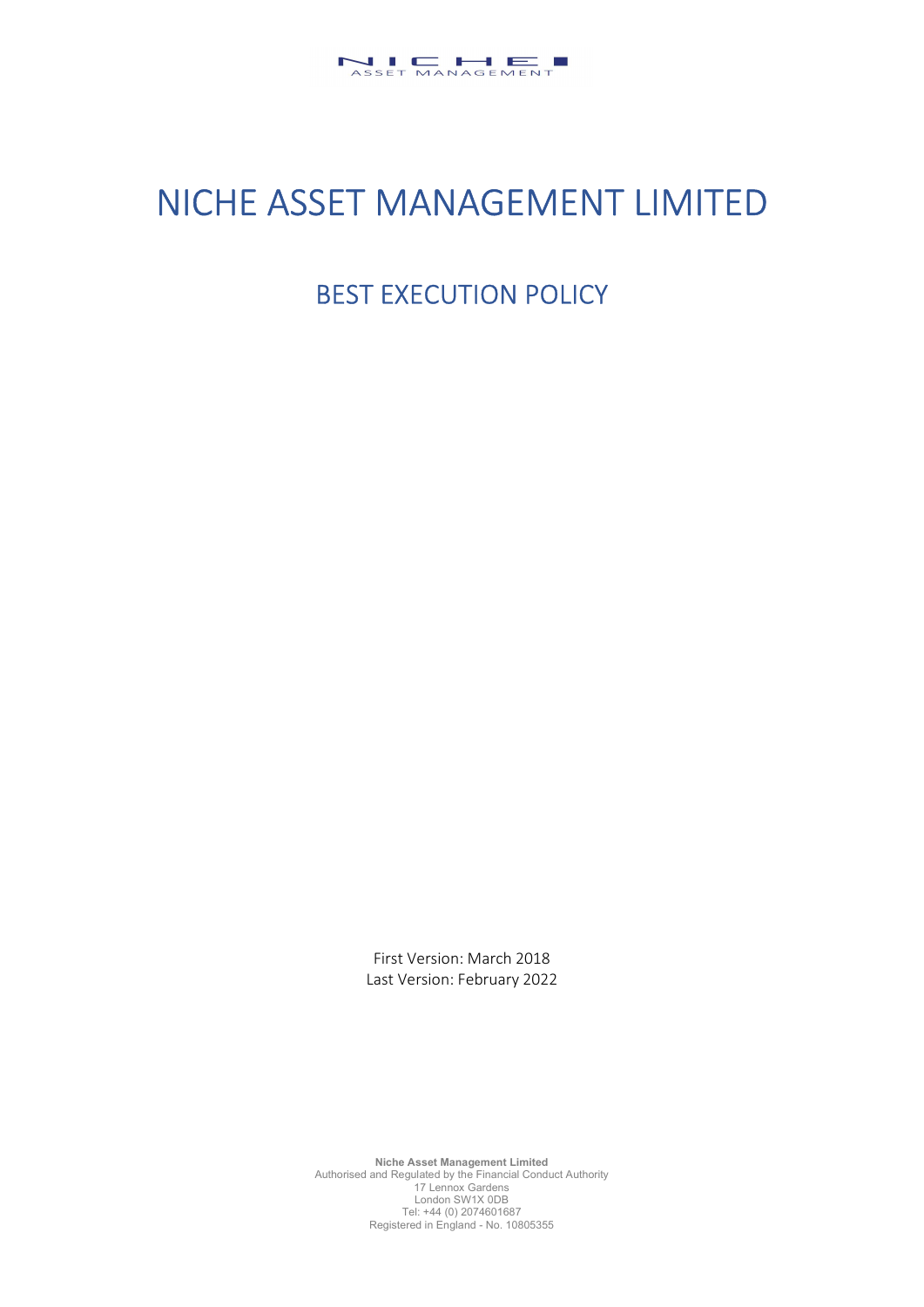

# NICHE ASSET MANAGEMENT LIMITED

## BEST EXECUTION POLICY

First Version: March 2018 Last Version: February 2022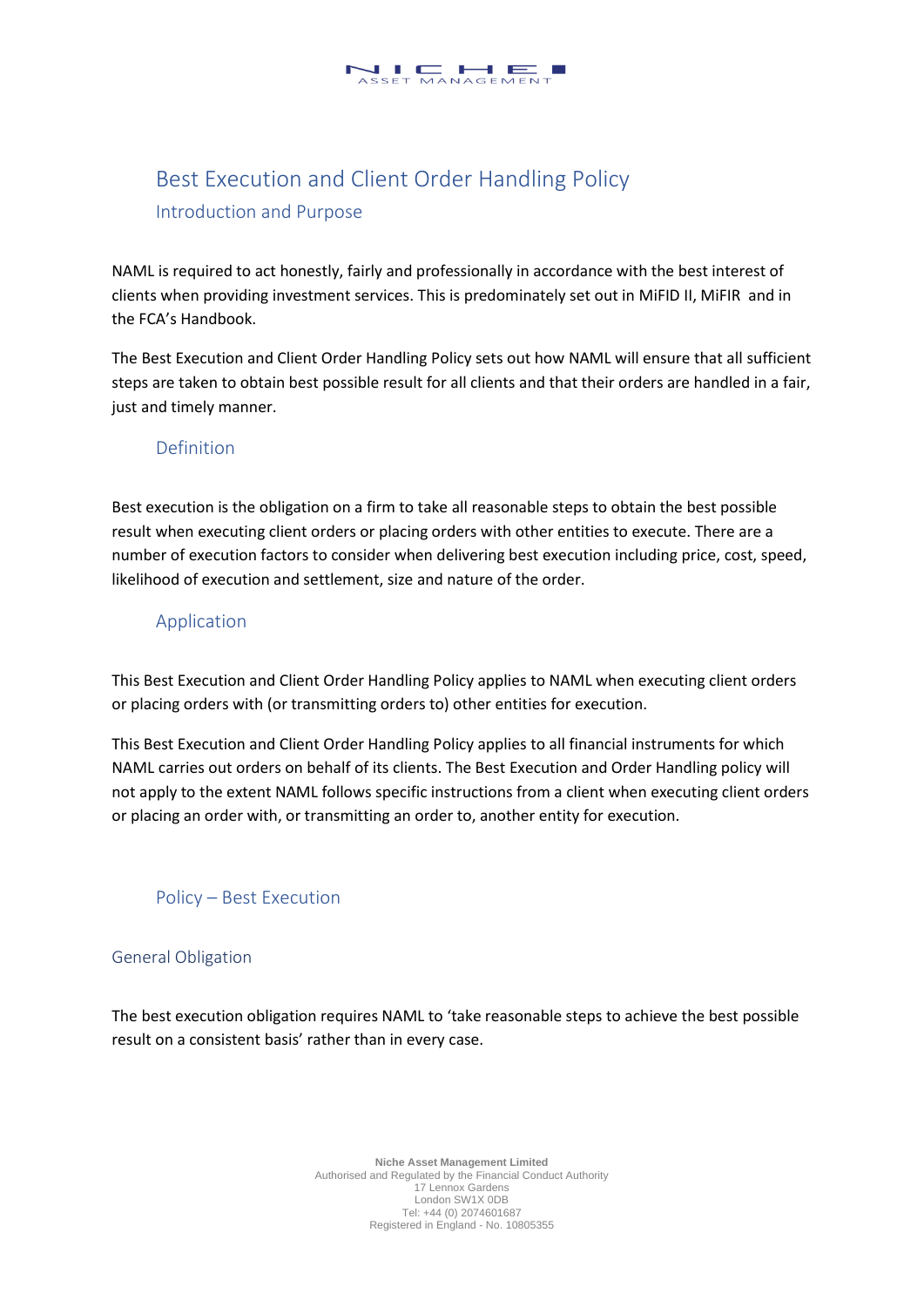

## Best Execution and Client Order Handling Policy Introduction and Purpose

NAML is required to act honestly, fairly and professionally in accordance with the best interest of clients when providing investment services. This is predominately set out in MiFID II, MiFIR and in the FCA's Handbook.

The Best Execution and Client Order Handling Policy sets out how NAML will ensure that all sufficient steps are taken to obtain best possible result for all clients and that their orders are handled in a fair, just and timely manner.

#### Definition

Best execution is the obligation on a firm to take all reasonable steps to obtain the best possible result when executing client orders or placing orders with other entities to execute. There are a number of execution factors to consider when delivering best execution including price, cost, speed, likelihood of execution and settlement, size and nature of the order.

#### Application

This Best Execution and Client Order Handling Policy applies to NAML when executing client orders or placing orders with (or transmitting orders to) other entities for execution.

This Best Execution and Client Order Handling Policy applies to all financial instruments for which NAML carries out orders on behalf of its clients. The Best Execution and Order Handling policy will not apply to the extent NAML follows specific instructions from a client when executing client orders or placing an order with, or transmitting an order to, another entity for execution.

#### Policy – Best Execution

#### General Obligation

The best execution obligation requires NAML to 'take reasonable steps to achieve the best possible result on a consistent basis' rather than in every case.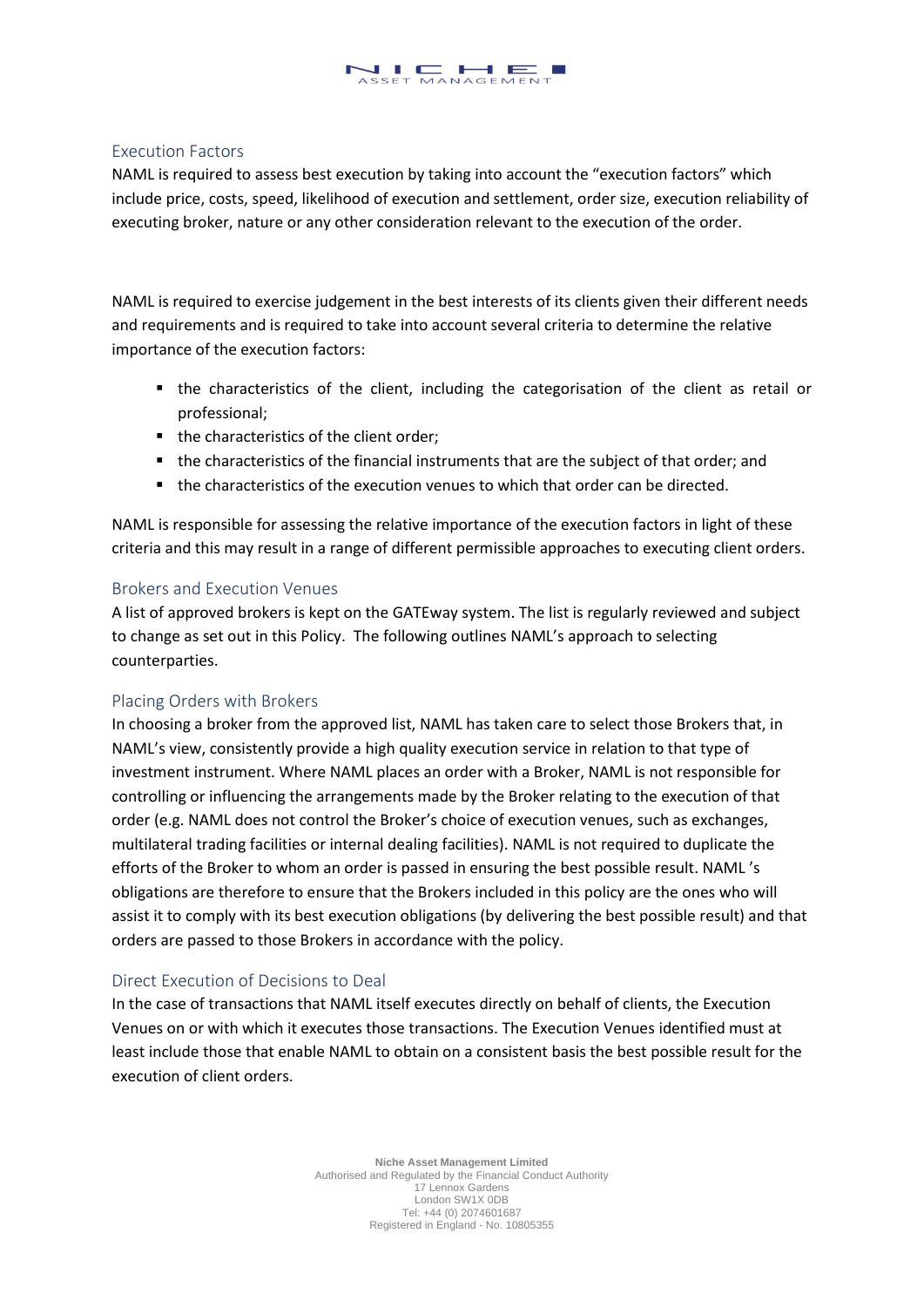### VIC HIE

#### Execution Factors

NAML is required to assess best execution by taking into account the "execution factors" which include price, costs, speed, likelihood of execution and settlement, order size, execution reliability of executing broker, nature or any other consideration relevant to the execution of the order.

NAML is required to exercise judgement in the best interests of its clients given their different needs and requirements and is required to take into account several criteria to determine the relative importance of the execution factors:

- the characteristics of the client, including the categorisation of the client as retail or professional;
- the characteristics of the client order;
- the characteristics of the financial instruments that are the subject of that order; and
- the characteristics of the execution venues to which that order can be directed.

NAML is responsible for assessing the relative importance of the execution factors in light of these criteria and this may result in a range of different permissible approaches to executing client orders.

#### Brokers and Execution Venues

A list of approved brokers is kept on the GATEway system. The list is regularly reviewed and subject to change as set out in this Policy. The following outlines NAML's approach to selecting counterparties.

#### Placing Orders with Brokers

In choosing a broker from the approved list, NAML has taken care to select those Brokers that, in NAML's view, consistently provide a high quality execution service in relation to that type of investment instrument. Where NAML places an order with a Broker, NAML is not responsible for controlling or influencing the arrangements made by the Broker relating to the execution of that order (e.g. NAML does not control the Broker's choice of execution venues, such as exchanges, multilateral trading facilities or internal dealing facilities). NAML is not required to duplicate the efforts of the Broker to whom an order is passed in ensuring the best possible result. NAML 's obligations are therefore to ensure that the Brokers included in this policy are the ones who will assist it to comply with its best execution obligations (by delivering the best possible result) and that orders are passed to those Brokers in accordance with the policy.

#### Direct Execution of Decisions to Deal

In the case of transactions that NAML itself executes directly on behalf of clients, the Execution Venues on or with which it executes those transactions. The Execution Venues identified must at least include those that enable NAML to obtain on a consistent basis the best possible result for the execution of client orders.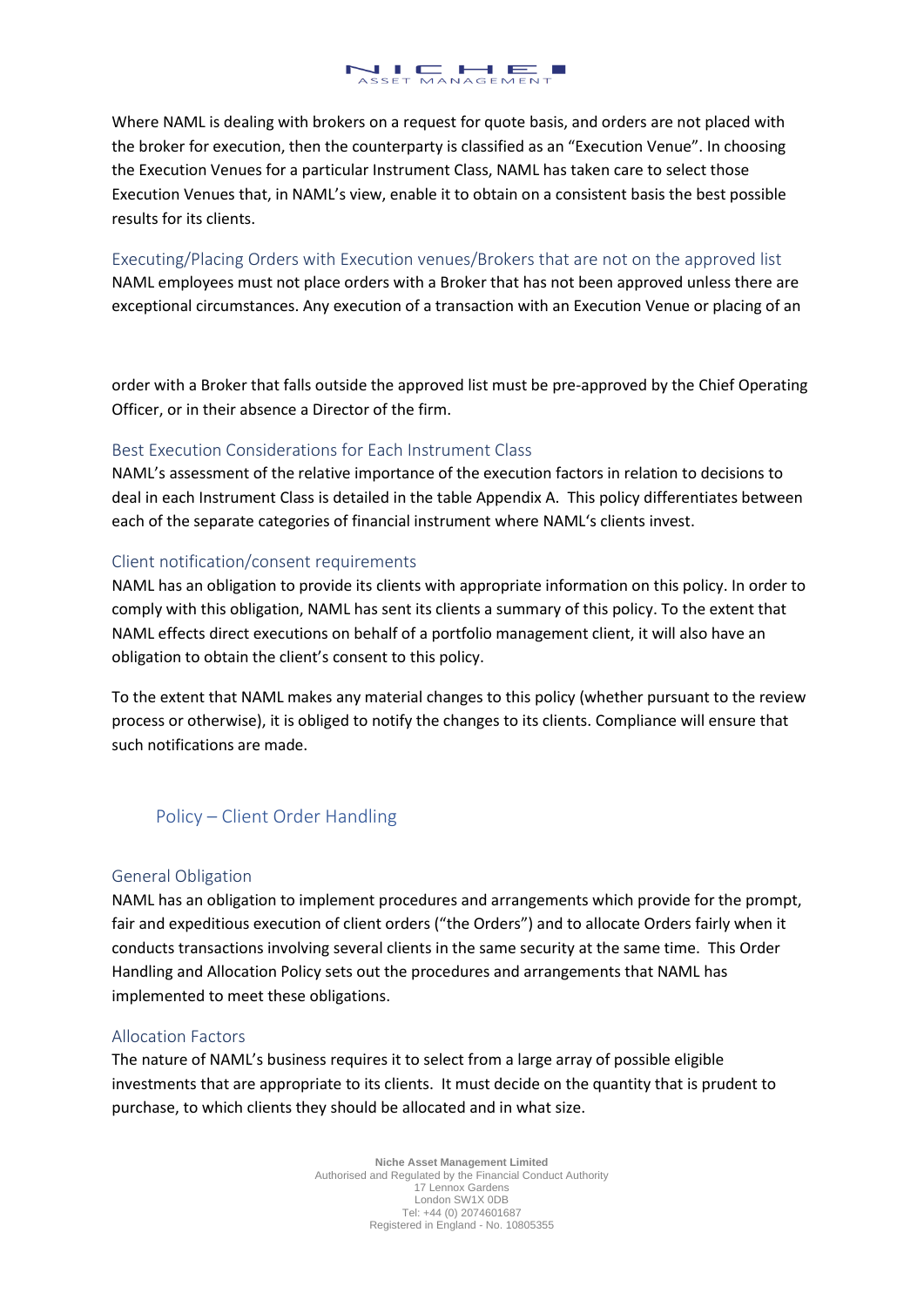## VIC HE

Where NAML is dealing with brokers on a request for quote basis, and orders are not placed with the broker for execution, then the counterparty is classified as an "Execution Venue". In choosing the Execution Venues for a particular Instrument Class, NAML has taken care to select those Execution Venues that, in NAML's view, enable it to obtain on a consistent basis the best possible results for its clients.

#### Executing/Placing Orders with Execution venues/Brokers that are not on the approved list

NAML employees must not place orders with a Broker that has not been approved unless there are exceptional circumstances. Any execution of a transaction with an Execution Venue or placing of an

order with a Broker that falls outside the approved list must be pre-approved by the Chief Operating Officer, or in their absence a Director of the firm.

#### Best Execution Considerations for Each Instrument Class

NAML's assessment of the relative importance of the execution factors in relation to decisions to deal in each Instrument Class is detailed in the table Appendix A. This policy differentiates between each of the separate categories of financial instrument where NAML's clients invest.

#### Client notification/consent requirements

NAML has an obligation to provide its clients with appropriate information on this policy. In order to comply with this obligation, NAML has sent its clients a summary of this policy. To the extent that NAML effects direct executions on behalf of a portfolio management client, it will also have an obligation to obtain the client's consent to this policy.

To the extent that NAML makes any material changes to this policy (whether pursuant to the review process or otherwise), it is obliged to notify the changes to its clients. Compliance will ensure that such notifications are made.

#### Policy – Client Order Handling

#### General Obligation

NAML has an obligation to implement procedures and arrangements which provide for the prompt, fair and expeditious execution of client orders ("the Orders") and to allocate Orders fairly when it conducts transactions involving several clients in the same security at the same time. This Order Handling and Allocation Policy sets out the procedures and arrangements that NAML has implemented to meet these obligations.

#### Allocation Factors

The nature of NAML's business requires it to select from a large array of possible eligible investments that are appropriate to its clients. It must decide on the quantity that is prudent to purchase, to which clients they should be allocated and in what size.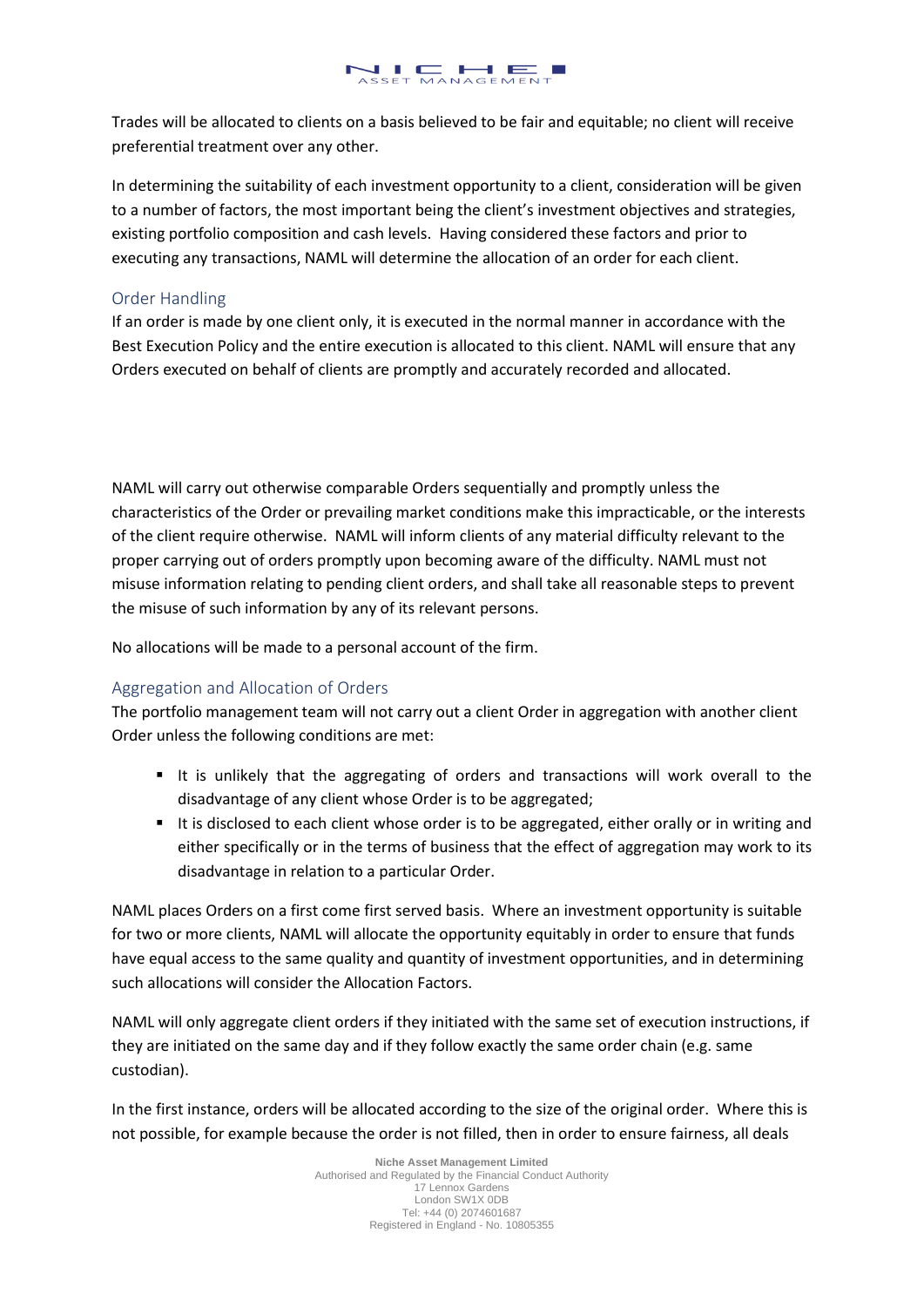

Trades will be allocated to clients on a basis believed to be fair and equitable; no client will receive preferential treatment over any other.

In determining the suitability of each investment opportunity to a client, consideration will be given to a number of factors, the most important being the client's investment objectives and strategies, existing portfolio composition and cash levels. Having considered these factors and prior to executing any transactions, NAML will determine the allocation of an order for each client.

#### Order Handling

If an order is made by one client only, it is executed in the normal manner in accordance with the Best Execution Policy and the entire execution is allocated to this client. NAML will ensure that any Orders executed on behalf of clients are promptly and accurately recorded and allocated.

NAML will carry out otherwise comparable Orders sequentially and promptly unless the characteristics of the Order or prevailing market conditions make this impracticable, or the interests of the client require otherwise. NAML will inform clients of any material difficulty relevant to the proper carrying out of orders promptly upon becoming aware of the difficulty. NAML must not misuse information relating to pending client orders, and shall take all reasonable steps to prevent the misuse of such information by any of its relevant persons.

No allocations will be made to a personal account of the firm.

#### Aggregation and Allocation of Orders

The portfolio management team will not carry out a client Order in aggregation with another client Order unless the following conditions are met:

- It is unlikely that the aggregating of orders and transactions will work overall to the disadvantage of any client whose Order is to be aggregated;
- It is disclosed to each client whose order is to be aggregated, either orally or in writing and either specifically or in the terms of business that the effect of aggregation may work to its disadvantage in relation to a particular Order.

NAML places Orders on a first come first served basis. Where an investment opportunity is suitable for two or more clients, NAML will allocate the opportunity equitably in order to ensure that funds have equal access to the same quality and quantity of investment opportunities, and in determining such allocations will consider the Allocation Factors.

NAML will only aggregate client orders if they initiated with the same set of execution instructions, if they are initiated on the same day and if they follow exactly the same order chain (e.g. same custodian).

In the first instance, orders will be allocated according to the size of the original order. Where this is not possible, for example because the order is not filled, then in order to ensure fairness, all deals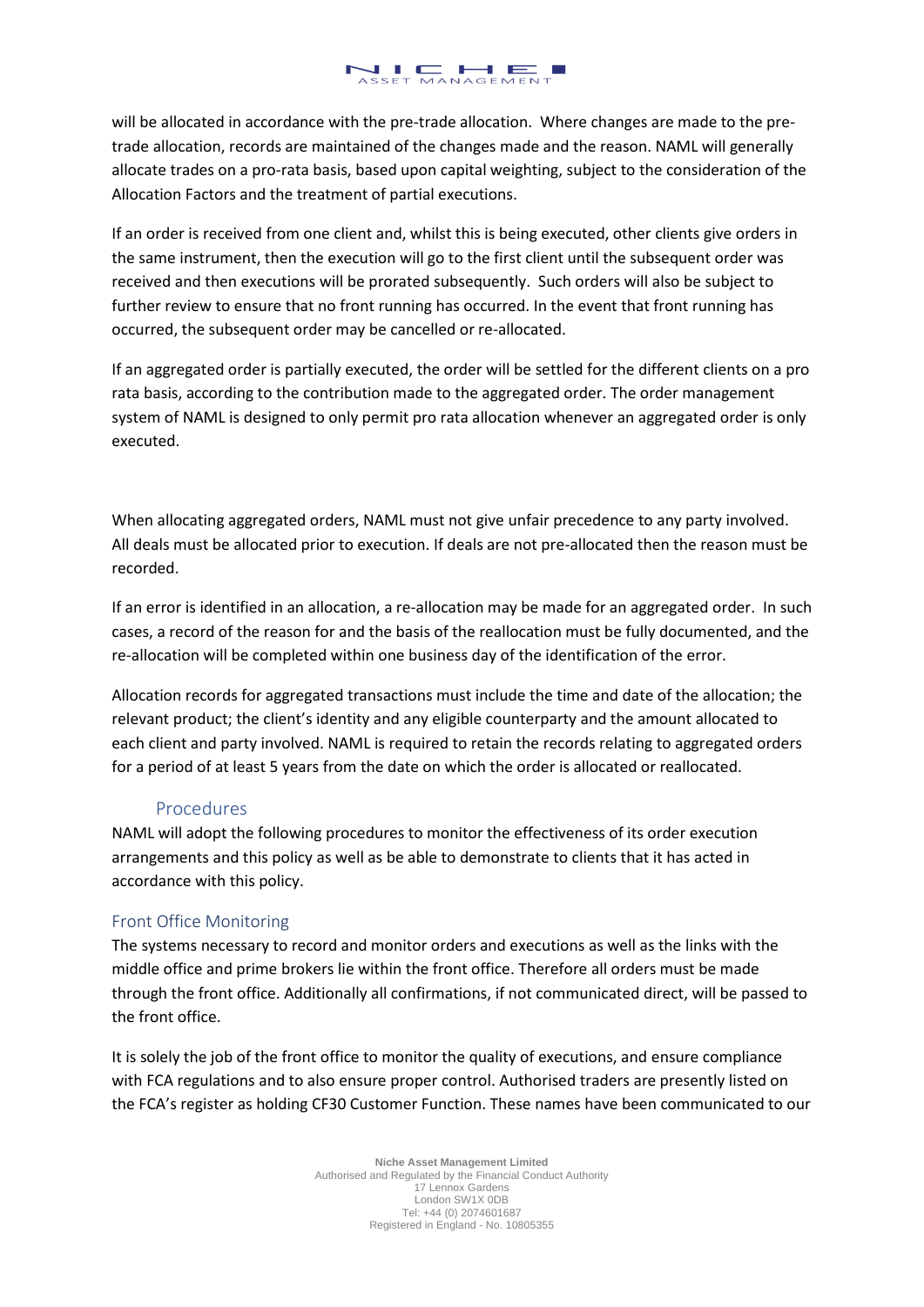## VIC HE

will be allocated in accordance with the pre-trade allocation. Where changes are made to the pretrade allocation, records are maintained of the changes made and the reason. NAML will generally allocate trades on a pro-rata basis, based upon capital weighting, subject to the consideration of the Allocation Factors and the treatment of partial executions.

If an order is received from one client and, whilst this is being executed, other clients give orders in the same instrument, then the execution will go to the first client until the subsequent order was received and then executions will be prorated subsequently. Such orders will also be subject to further review to ensure that no front running has occurred. In the event that front running has occurred, the subsequent order may be cancelled or re-allocated.

If an aggregated order is partially executed, the order will be settled for the different clients on a pro rata basis, according to the contribution made to the aggregated order. The order management system of NAML is designed to only permit pro rata allocation whenever an aggregated order is only executed.

When allocating aggregated orders, NAML must not give unfair precedence to any party involved. All deals must be allocated prior to execution. If deals are not pre-allocated then the reason must be recorded.

If an error is identified in an allocation, a re-allocation may be made for an aggregated order. In such cases, a record of the reason for and the basis of the reallocation must be fully documented, and the re-allocation will be completed within one business day of the identification of the error.

Allocation records for aggregated transactions must include the time and date of the allocation; the relevant product; the client's identity and any eligible counterparty and the amount allocated to each client and party involved. NAML is required to retain the records relating to aggregated orders for a period of at least 5 years from the date on which the order is allocated or reallocated.

#### Procedures

NAML will adopt the following procedures to monitor the effectiveness of its order execution arrangements and this policy as well as be able to demonstrate to clients that it has acted in accordance with this policy.

#### Front Office Monitoring

The systems necessary to record and monitor orders and executions as well as the links with the middle office and prime brokers lie within the front office. Therefore all orders must be made through the front office. Additionally all confirmations, if not communicated direct, will be passed to the front office.

It is solely the job of the front office to monitor the quality of executions, and ensure compliance with FCA regulations and to also ensure proper control. Authorised traders are presently listed on the FCA's register as holding CF30 Customer Function. These names have been communicated to our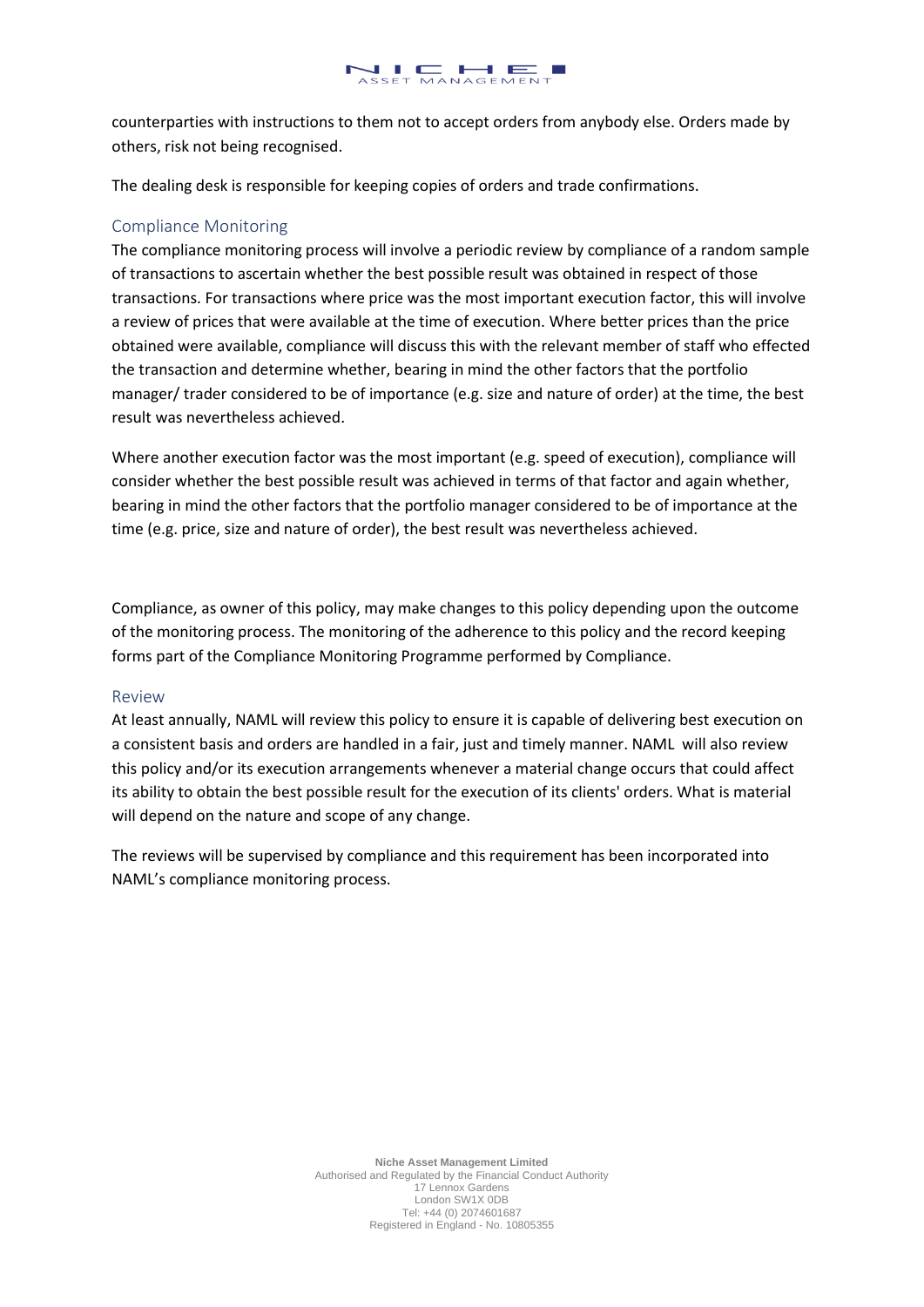

counterparties with instructions to them not to accept orders from anybody else. Orders made by others, risk not being recognised.

The dealing desk is responsible for keeping copies of orders and trade confirmations.

#### Compliance Monitoring

The compliance monitoring process will involve a periodic review by compliance of a random sample of transactions to ascertain whether the best possible result was obtained in respect of those transactions. For transactions where price was the most important execution factor, this will involve a review of prices that were available at the time of execution. Where better prices than the price obtained were available, compliance will discuss this with the relevant member of staff who effected the transaction and determine whether, bearing in mind the other factors that the portfolio manager/ trader considered to be of importance (e.g. size and nature of order) at the time, the best result was nevertheless achieved.

Where another execution factor was the most important (e.g. speed of execution), compliance will consider whether the best possible result was achieved in terms of that factor and again whether, bearing in mind the other factors that the portfolio manager considered to be of importance at the time (e.g. price, size and nature of order), the best result was nevertheless achieved.

Compliance, as owner of this policy, may make changes to this policy depending upon the outcome of the monitoring process. The monitoring of the adherence to this policy and the record keeping forms part of the Compliance Monitoring Programme performed by Compliance.

#### Review

At least annually, NAML will review this policy to ensure it is capable of delivering best execution on a consistent basis and orders are handled in a fair, just and timely manner. NAML will also review this policy and/or its execution arrangements whenever a material change occurs that could affect its ability to obtain the best possible result for the execution of its clients' orders. What is material will depend on the nature and scope of any change.

The reviews will be supervised by compliance and this requirement has been incorporated into NAML's compliance monitoring process.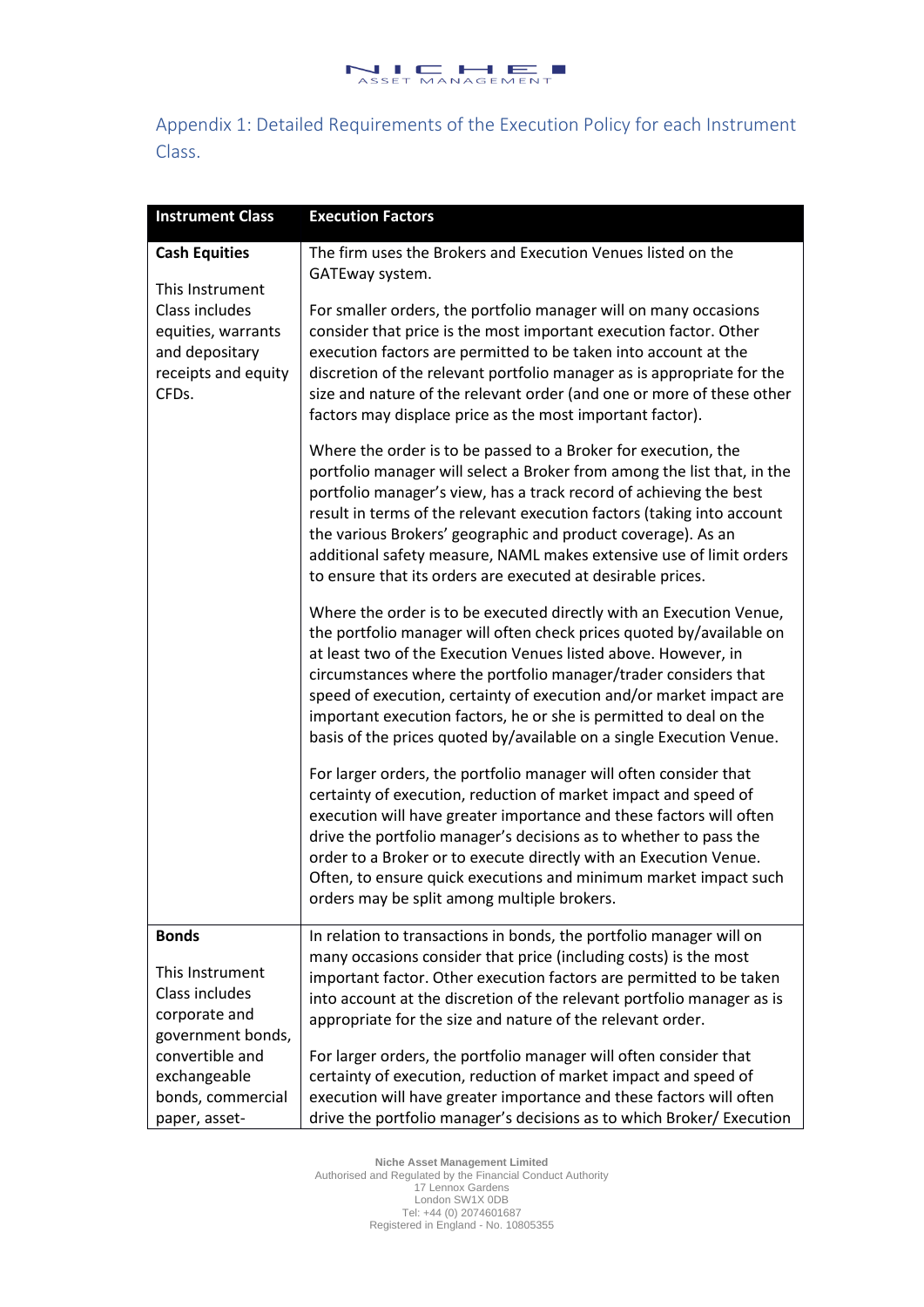

Appendix 1: Detailed Requirements of the Execution Policy for each Instrument Class.

| <b>Instrument Class</b>                                                                                                                          | <b>Execution Factors</b>                                                                                                                                                                                                                                                                                                                                                                                                                                                                              |
|--------------------------------------------------------------------------------------------------------------------------------------------------|-------------------------------------------------------------------------------------------------------------------------------------------------------------------------------------------------------------------------------------------------------------------------------------------------------------------------------------------------------------------------------------------------------------------------------------------------------------------------------------------------------|
| <b>Cash Equities</b><br>This Instrument<br>Class includes<br>equities, warrants<br>and depositary<br>receipts and equity<br>CFDs.                | The firm uses the Brokers and Execution Venues listed on the<br>GATEway system.                                                                                                                                                                                                                                                                                                                                                                                                                       |
|                                                                                                                                                  | For smaller orders, the portfolio manager will on many occasions<br>consider that price is the most important execution factor. Other<br>execution factors are permitted to be taken into account at the<br>discretion of the relevant portfolio manager as is appropriate for the<br>size and nature of the relevant order (and one or more of these other<br>factors may displace price as the most important factor).                                                                              |
|                                                                                                                                                  | Where the order is to be passed to a Broker for execution, the<br>portfolio manager will select a Broker from among the list that, in the<br>portfolio manager's view, has a track record of achieving the best<br>result in terms of the relevant execution factors (taking into account<br>the various Brokers' geographic and product coverage). As an<br>additional safety measure, NAML makes extensive use of limit orders<br>to ensure that its orders are executed at desirable prices.       |
|                                                                                                                                                  | Where the order is to be executed directly with an Execution Venue,<br>the portfolio manager will often check prices quoted by/available on<br>at least two of the Execution Venues listed above. However, in<br>circumstances where the portfolio manager/trader considers that<br>speed of execution, certainty of execution and/or market impact are<br>important execution factors, he or she is permitted to deal on the<br>basis of the prices quoted by/available on a single Execution Venue. |
|                                                                                                                                                  | For larger orders, the portfolio manager will often consider that<br>certainty of execution, reduction of market impact and speed of<br>execution will have greater importance and these factors will often<br>drive the portfolio manager's decisions as to whether to pass the<br>order to a Broker or to execute directly with an Execution Venue.<br>Often, to ensure quick executions and minimum market impact such<br>orders may be split among multiple brokers.                              |
| <b>Bonds</b>                                                                                                                                     | In relation to transactions in bonds, the portfolio manager will on                                                                                                                                                                                                                                                                                                                                                                                                                                   |
| This Instrument<br>Class includes<br>corporate and<br>government bonds,<br>convertible and<br>exchangeable<br>bonds, commercial<br>paper, asset- | many occasions consider that price (including costs) is the most<br>important factor. Other execution factors are permitted to be taken<br>into account at the discretion of the relevant portfolio manager as is<br>appropriate for the size and nature of the relevant order.                                                                                                                                                                                                                       |
|                                                                                                                                                  | For larger orders, the portfolio manager will often consider that<br>certainty of execution, reduction of market impact and speed of<br>execution will have greater importance and these factors will often<br>drive the portfolio manager's decisions as to which Broker/ Execution                                                                                                                                                                                                                  |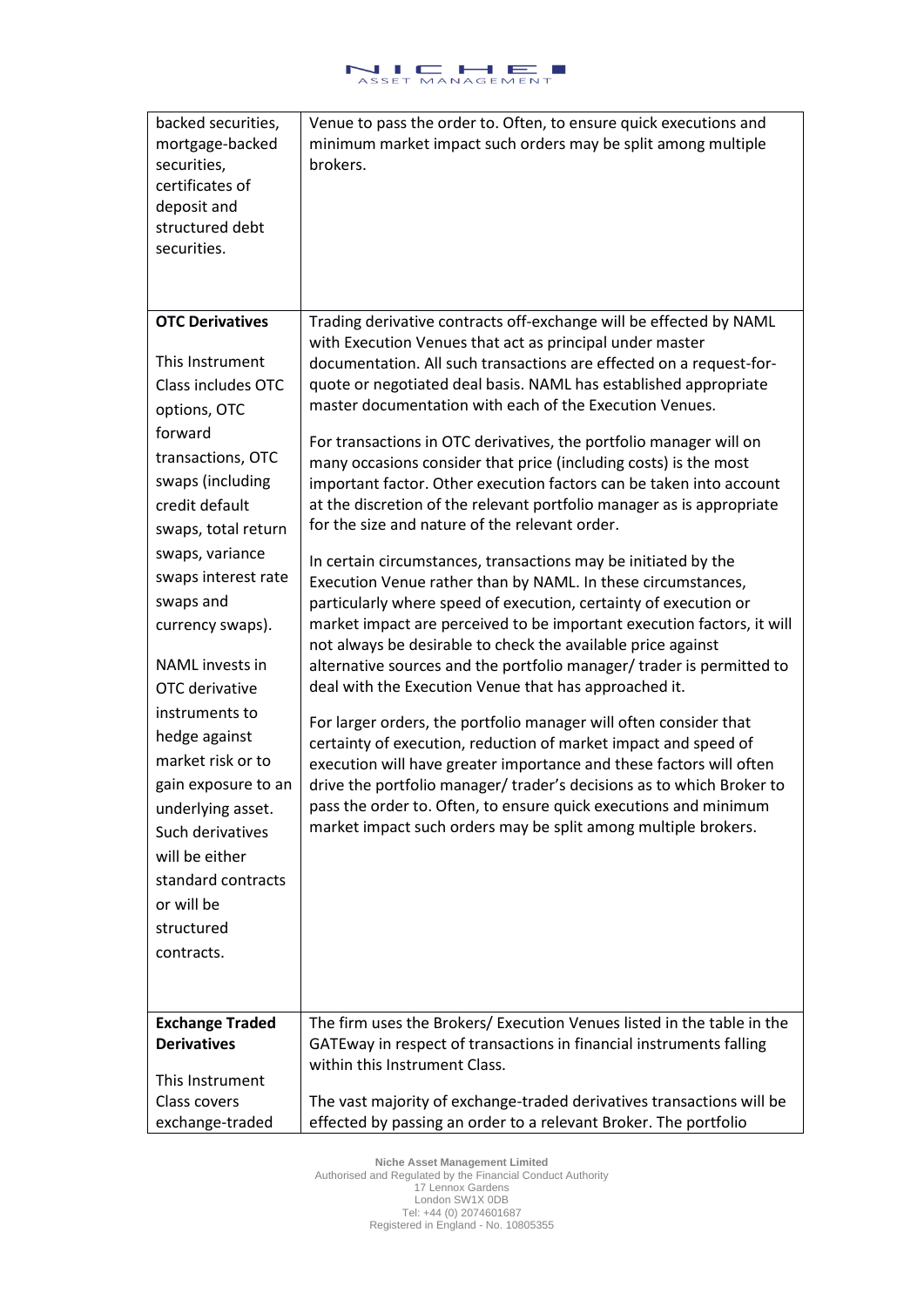

| backed securities,<br>mortgage-backed<br>securities,<br>certificates of<br>deposit and<br>structured debt<br>securities. | Venue to pass the order to. Often, to ensure quick executions and<br>minimum market impact such orders may be split among multiple<br>brokers. |
|--------------------------------------------------------------------------------------------------------------------------|------------------------------------------------------------------------------------------------------------------------------------------------|
| <b>OTC Derivatives</b>                                                                                                   | Trading derivative contracts off-exchange will be effected by NAML                                                                             |
| This Instrument                                                                                                          | with Execution Venues that act as principal under master<br>documentation. All such transactions are effected on a request-for-                |
| Class includes OTC                                                                                                       | quote or negotiated deal basis. NAML has established appropriate                                                                               |
| options, OTC                                                                                                             | master documentation with each of the Execution Venues.                                                                                        |
| forward                                                                                                                  | For transactions in OTC derivatives, the portfolio manager will on                                                                             |
| transactions, OTC                                                                                                        | many occasions consider that price (including costs) is the most                                                                               |
| swaps (including                                                                                                         | important factor. Other execution factors can be taken into account                                                                            |
| credit default                                                                                                           | at the discretion of the relevant portfolio manager as is appropriate                                                                          |
| swaps, total return                                                                                                      | for the size and nature of the relevant order.                                                                                                 |
| swaps, variance                                                                                                          | In certain circumstances, transactions may be initiated by the                                                                                 |
| swaps interest rate                                                                                                      | Execution Venue rather than by NAML. In these circumstances,                                                                                   |
| swaps and<br>currency swaps).                                                                                            | particularly where speed of execution, certainty of execution or<br>market impact are perceived to be important execution factors, it will     |
|                                                                                                                          | not always be desirable to check the available price against                                                                                   |
| NAML invests in                                                                                                          | alternative sources and the portfolio manager/ trader is permitted to                                                                          |
| OTC derivative                                                                                                           | deal with the Execution Venue that has approached it.                                                                                          |
| instruments to                                                                                                           | For larger orders, the portfolio manager will often consider that                                                                              |
| hedge against                                                                                                            | certainty of execution, reduction of market impact and speed of                                                                                |
| market risk or to                                                                                                        | execution will have greater importance and these factors will often                                                                            |
| gain exposure to an                                                                                                      | drive the portfolio manager/ trader's decisions as to which Broker to                                                                          |
| underlying asset.                                                                                                        | pass the order to. Often, to ensure quick executions and minimum<br>market impact such orders may be split among multiple brokers.             |
| Such derivatives<br>will be either                                                                                       |                                                                                                                                                |
| standard contracts                                                                                                       |                                                                                                                                                |
| or will be                                                                                                               |                                                                                                                                                |
| structured                                                                                                               |                                                                                                                                                |
| contracts.                                                                                                               |                                                                                                                                                |
|                                                                                                                          |                                                                                                                                                |
|                                                                                                                          |                                                                                                                                                |
| <b>Exchange Traded</b>                                                                                                   | The firm uses the Brokers/ Execution Venues listed in the table in the                                                                         |
| <b>Derivatives</b>                                                                                                       | GATEway in respect of transactions in financial instruments falling<br>within this Instrument Class.                                           |
| This Instrument                                                                                                          |                                                                                                                                                |
| Class covers                                                                                                             | The vast majority of exchange-traded derivatives transactions will be                                                                          |
| exchange-traded                                                                                                          | effected by passing an order to a relevant Broker. The portfolio                                                                               |